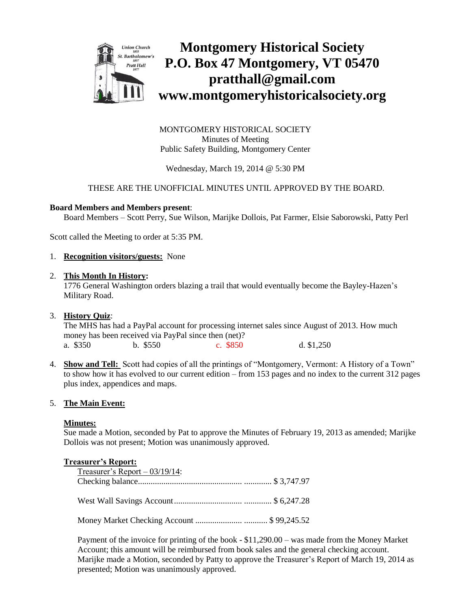

**Montgomery Historical Society P.O. Box 47 Montgomery, VT 05470 pratthall@gmail.com www.montgomeryhistoricalsociety.org**

MONTGOMERY HISTORICAL SOCIETY Minutes of Meeting Public Safety Building, Montgomery Center

Wednesday, March 19, 2014 @ 5:30 PM

# THESE ARE THE UNOFFICIAL MINUTES UNTIL APPROVED BY THE BOARD.

## **Board Members and Members present**:

Board Members – Scott Perry, Sue Wilson, Marijke Dollois, Pat Farmer, Elsie Saborowski, Patty Perl

Scott called the Meeting to order at 5:35 PM.

1. **Recognition visitors/guests:** None

#### 2. **This Month In History:**

1776 General Washington orders blazing a trail that would eventually become the Bayley-Hazen's Military Road.

3. **History Quiz**:

The MHS has had a PayPal account for processing internet sales since August of 2013. How much money has been received via PayPal since then (net)? a. \$350 b. \$550 c. \$850 d. \$1,250

4. **Show and Tell:** Scott had copies of all the printings of "Montgomery, Vermont: A History of a Town" to show how it has evolved to our current edition – from 153 pages and no index to the current 312 pages plus index, appendices and maps.

## 5. **The Main Event:**

#### **Minutes:**

Sue made a Motion, seconded by Pat to approve the Minutes of February 19, 2013 as amended; Marijke Dollois was not present; Motion was unanimously approved.

#### **Treasurer's Report:**

| Treasurer's Report $-03/19/14$ : |  |
|----------------------------------|--|
|                                  |  |
|                                  |  |
|                                  |  |
|                                  |  |
|                                  |  |

Payment of the invoice for printing of the book - \$11,290.00 – was made from the Money Market Account; this amount will be reimbursed from book sales and the general checking account. Marijke made a Motion, seconded by Patty to approve the Treasurer's Report of March 19, 2014 as presented; Motion was unanimously approved.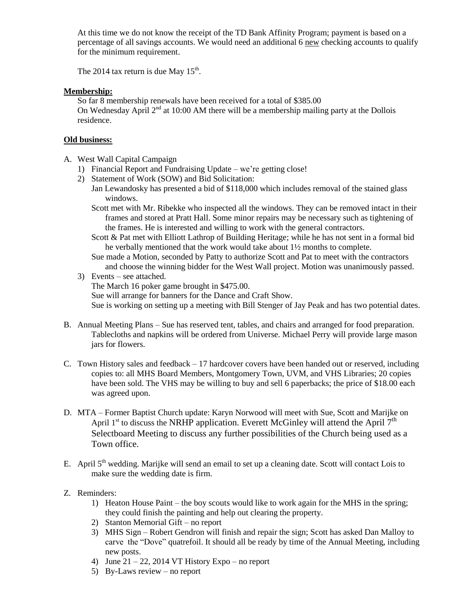At this time we do not know the receipt of the TD Bank Affinity Program; payment is based on a percentage of all savings accounts. We would need an additional 6 new checking accounts to qualify for the minimum requirement.

The 2014 tax return is due May  $15<sup>th</sup>$ .

# **Membership:**

So far 8 membership renewals have been received for a total of \$385.00 On Wednesday April 2<sup>nd</sup> at 10:00 AM there will be a membership mailing party at the Dollois residence.

# **Old business:**

- A. West Wall Capital Campaign
	- 1) Financial Report and Fundraising Update we're getting close!
	- 2) Statement of Work (SOW) and Bid Solicitation:
		- Jan Lewandosky has presented a bid of \$118,000 which includes removal of the stained glass windows.
			- Scott met with Mr. Ribekke who inspected all the windows. They can be removed intact in their frames and stored at Pratt Hall. Some minor repairs may be necessary such as tightening of the frames. He is interested and willing to work with the general contractors.
			- Scott & Pat met with Elliott Lathrop of Building Heritage; while he has not sent in a formal bid he verbally mentioned that the work would take about 1½ months to complete.
		- Sue made a Motion, seconded by Patty to authorize Scott and Pat to meet with the contractors and choose the winning bidder for the West Wall project. Motion was unanimously passed.
	- 3) Events see attached. The March 16 poker game brought in \$475.00. Sue will arrange for banners for the Dance and Craft Show. Sue is working on setting up a meeting with Bill Stenger of Jay Peak and has two potential dates.
- B. Annual Meeting Plans Sue has reserved tent, tables, and chairs and arranged for food preparation. Tablecloths and napkins will be ordered from Universe. Michael Perry will provide large mason jars for flowers.
- C. Town History sales and feedback 17 hardcover covers have been handed out or reserved, including copies to: all MHS Board Members, Montgomery Town, UVM, and VHS Libraries; 20 copies have been sold. The VHS may be willing to buy and sell 6 paperbacks; the price of \$18.00 each was agreed upon.
- D. MTA Former Baptist Church update: Karyn Norwood will meet with Sue, Scott and Marijke on April 1<sup>st</sup> to discuss the NRHP application. Everett McGinley will attend the April  $7<sup>th</sup>$ Selectboard Meeting to discuss any further possibilities of the Church being used as a Town office.
- E. April  $5<sup>th</sup>$  wedding. Marijke will send an email to set up a cleaning date. Scott will contact Lois to make sure the wedding date is firm.
- Z. Reminders:
	- 1) Heaton House Paint the boy scouts would like to work again for the MHS in the spring; they could finish the painting and help out clearing the property.
	- 2) Stanton Memorial Gift no report
	- 3) MHS Sign Robert Gendron will finish and repair the sign; Scott has asked Dan Malloy to carve the "Dove" quatrefoil. It should all be ready by time of the Annual Meeting, including new posts.
	- 4) June  $21 22$ , 2014 VT History Expo no report
	- 5) By-Laws review no report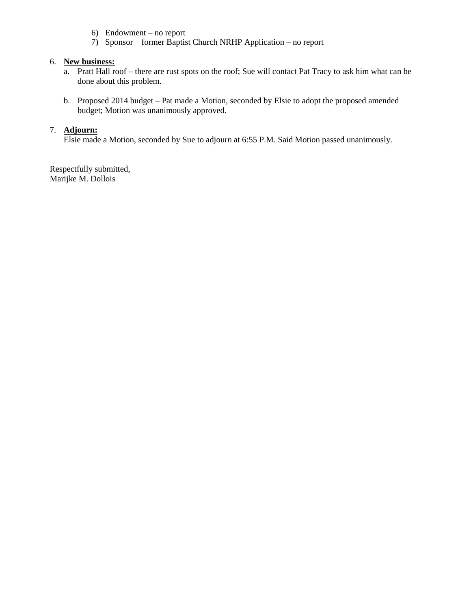- 6) Endowment no report
- 7) Sponsor former Baptist Church NRHP Application no report

## 6. **New business:**

- a. Pratt Hall roof there are rust spots on the roof; Sue will contact Pat Tracy to ask him what can be done about this problem.
- b. Proposed 2014 budget Pat made a Motion, seconded by Elsie to adopt the proposed amended budget; Motion was unanimously approved.

## 7. **Adjourn:**

Elsie made a Motion, seconded by Sue to adjourn at 6:55 P.M. Said Motion passed unanimously.

Respectfully submitted, Marijke M. Dollois